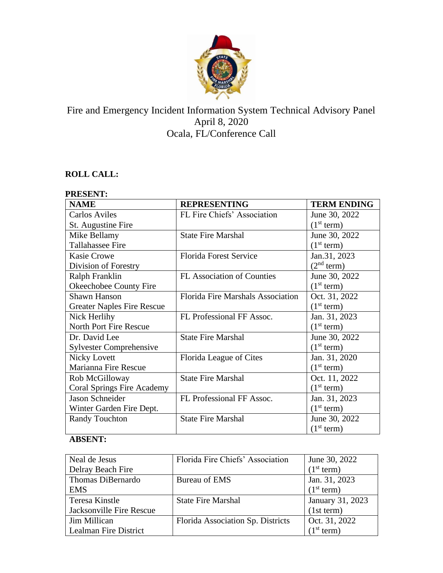

# Fire and Emergency Incident Information System Technical Advisory Panel April 8, 2020 Ocala, FL/Conference Call

# **ROLL CALL:**

#### **PRESENT:**

| <b>NAME</b>                       | <b>REPRESENTING</b>                      | <b>TERM ENDING</b>     |
|-----------------------------------|------------------------------------------|------------------------|
| <b>Carlos Aviles</b>              | FL Fire Chiefs' Association              | June 30, 2022          |
| St. Augustine Fire                |                                          | (1 <sup>st</sup> term) |
| Mike Bellamy                      | <b>State Fire Marshal</b>                | June 30, 2022          |
| <b>Tallahassee Fire</b>           |                                          | (1 <sup>st</sup> term) |
| <b>Kasie Crowe</b>                | <b>Florida Forest Service</b>            | Jan.31, 2023           |
| Division of Forestry              |                                          | (2 <sup>nd</sup> term) |
| Ralph Franklin                    | <b>FL Association of Counties</b>        | June 30, 2022          |
| Okeechobee County Fire            |                                          | (1 <sup>st</sup> term) |
| <b>Shawn Hanson</b>               | <b>Florida Fire Marshals Association</b> | Oct. 31, 2022          |
| <b>Greater Naples Fire Rescue</b> |                                          | (1 <sup>st</sup> term) |
| Nick Herlihy                      | FL Professional FF Assoc.                | Jan. 31, 2023          |
| North Port Fire Rescue            |                                          | (1 <sup>st</sup> term) |
| Dr. David Lee                     | <b>State Fire Marshal</b>                | June 30, 2022          |
| <b>Sylvester Comprehensive</b>    |                                          | (1 <sup>st</sup> term) |
| Nicky Lovett                      | Florida League of Cites                  | Jan. 31, 2020          |
| Marianna Fire Rescue              |                                          | (1 <sup>st</sup> term) |
| Rob McGilloway                    | <b>State Fire Marshal</b>                | Oct. 11, 2022          |
| Coral Springs Fire Academy        |                                          | (1 <sup>st</sup> term) |
| Jason Schneider                   | FL Professional FF Assoc.                | Jan. 31, 2023          |
| Winter Garden Fire Dept.          |                                          | (1 <sup>st</sup> term) |
| <b>Randy Touchton</b>             | <b>State Fire Marshal</b>                | June 30, 2022          |
|                                   |                                          | (1 <sup>st</sup> term) |

# **ABSENT:**

| Neal de Jesus            | Florida Fire Chiefs' Association  | June 30, 2022          |
|--------------------------|-----------------------------------|------------------------|
| Delray Beach Fire        |                                   | (1 <sup>st</sup> term) |
| Thomas DiBernardo        | Bureau of EMS                     | Jan. 31, 2023          |
| <b>EMS</b>               |                                   | (1 <sup>st</sup> term) |
| <b>Teresa Kinstle</b>    | <b>State Fire Marshal</b>         | January 31, 2023       |
| Jacksonville Fire Rescue |                                   | (1st term)             |
| Jim Millican             | Florida Association Sp. Districts | Oct. 31, 2022          |
| Lealman Fire District    |                                   | (1 <sup>st</sup> term) |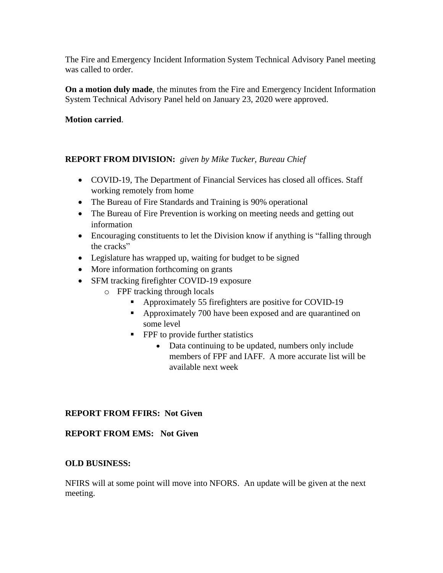The Fire and Emergency Incident Information System Technical Advisory Panel meeting was called to order.

**On a motion duly made**, the minutes from the Fire and Emergency Incident Information System Technical Advisory Panel held on January 23, 2020 were approved.

#### **Motion carried**.

#### **REPORT FROM DIVISION:** *given by Mike Tucker, Bureau Chief*

- COVID-19, The Department of Financial Services has closed all offices. Staff working remotely from home
- The Bureau of Fire Standards and Training is 90% operational
- The Bureau of Fire Prevention is working on meeting needs and getting out information
- Encouraging constituents to let the Division know if anything is "falling through the cracks"
- Legislature has wrapped up, waiting for budget to be signed
- More information forthcoming on grants
- SFM tracking firefighter COVID-19 exposure
	- o FPF tracking through locals
		- Approximately 55 firefighters are positive for COVID-19
		- **•** Approximately 700 have been exposed and are quarantined on some level
		- **•** FPF to provide further statistics
			- Data continuing to be updated, numbers only include members of FPF and IAFF. A more accurate list will be available next week

## **REPORT FROM FFIRS: Not Given**

## **REPORT FROM EMS: Not Given**

#### **OLD BUSINESS:**

NFIRS will at some point will move into NFORS. An update will be given at the next meeting.